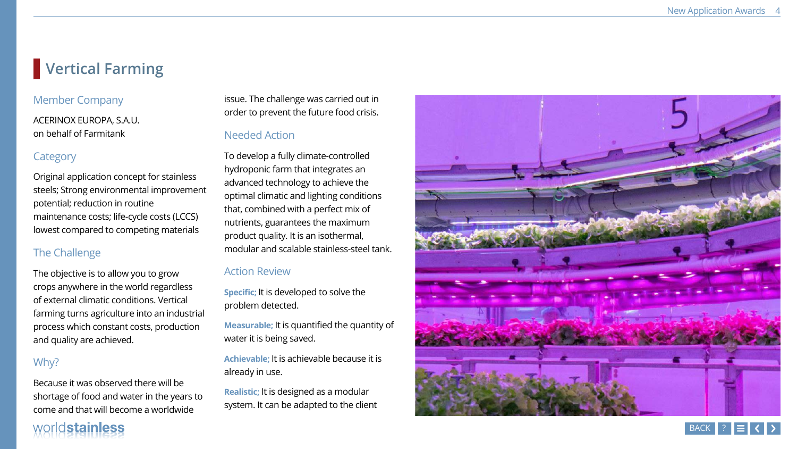# **Vertical Farming**

## Member Company

ACERINOX EUROPA, S.A.U. on behalf of Farmitank

### **Category**

Original application concept for stainless steels; Strong environmental improvement potential; reduction in routine maintenance costs; life-cycle costs (LCCS) lowest compared to competing materials

### The Challenge

The objective is to allow you to grow crops anywhere in the world regardless of external climatic conditions. Vertical farming turns agriculture into an industrial process which constant costs, production and quality are achieved.

### Why?

Because it was observed there will be shortage of food and water in the years to come and that will become a worldwide

# worldstainless

issue. The challenge was carried out in order to prevent the future food crisis.

# Needed Action

To develop a fully climate-controlled hydroponic farm that integrates an advanced technology to achieve the optimal climatic and lighting conditions that, combined with a perfect mix of nutrients, guarantees the maximum product quality. It is an isothermal, modular and scalable stainless-steel tank.

### Action Review

**Specific;** It is developed to solve the problem detected.

**Measurable;** It is quantified the quantity of water it is being saved.

**Achievable;** It is achievable because it is already in use.

**Realistic;** It is designed as a modular system. It can be adapted to the client